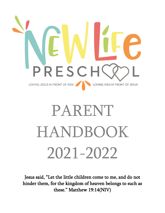# PRESCH LOVING JESUS IN FRONT OF KIDS LOVING KIDS IN FRONT OF JESUS

## PARENT HANDBOOK 2021-2022

Jesus said, "Let the little children come to me, and do not hinder them, for the kingdom of heaven belongs to such as these." Matthew 19:14(NIV)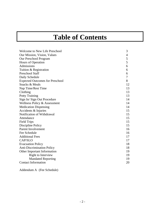### **Table of Contents**

| Welcome to New Life Preschool          | 3  |
|----------------------------------------|----|
| Our Mission, Vision, Values            |    |
| Our Preschool Program                  | 5  |
| Hours of Operation                     | 5  |
| Admissions                             | 6  |
| Tuition & Registration                 | 6  |
| <b>Preschool Staff</b>                 | 6  |
| Daily Schedule                         | 7  |
| <b>Expected Outcomes for Preschool</b> | 8  |
| Snacks & Meals                         | 12 |
| Nap Time/Rest Time                     | 13 |
| Clothing                               | 13 |
| <b>Potty Training</b>                  | 13 |
| Sign In/Sign Out Procedure             | 14 |
| Wellness Policy & Assessment           | 14 |
| <b>Medication Dispensing</b>           | 14 |
| Accidents & Injuries                   | 15 |
| Notification of Withdrawal             | 15 |
| Attendance                             | 15 |
| <b>Field Trips</b>                     | 15 |
| Discipline Policy                      | 15 |
| Parent Involvement                     | 16 |
| Fee Schedule                           | 16 |
| <b>Additional Fees</b>                 | 17 |
| <b>CAP/SLO</b>                         | 17 |
| <b>Evacuation Policy</b>               | 18 |
| Anti-Discrimination Policy             | 18 |
| Other Important Information            | 19 |
| <b>Right to Interview</b>              | 19 |
| <b>Mandated Reporting</b>              | 19 |
| <b>Contact Information</b>             | 20 |

Addendum A (Fee Schedule)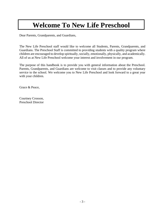### **Welcome To New Life Preschool**

Dear Parents, Grandparents, and Guardians,

The New Life Preschool staff would like to welcome all Students, Parents, Grandparents, and Guardians. The Preschool Staff is committed to providing students with a quality program where children are encouraged to develop spiritually, socially, emotionally, physically, and academically. All of us at New Life Preschool welcome your interest and involvement in our program.

The purpose of this handbook is to provide you with general information about the Preschool. Parents, Grandparents, and Guardians are welcome to visit classes and to provide any voluntary service to the school. We welcome you to New Life Preschool and look forward to a great year with your children.

Grace & Peace,

Courtney Crosson, Preschool Director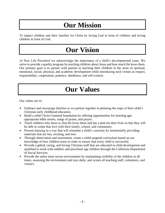### **Our Mission**

To impact children and their families for Christ by loving God in front of children and loving children in front of God.

### **Our Vision**

At New Life Preschool we acknowledge the importance of a child's developmental years. We strive to provide a quality program by teaching children about Jesus and how much He loves them. Our primary goal is to partner with parents in teaching their children in the areas of spiritual, emotional, social, physical, and academic development while introducing such virtues as respect, responsibility, cooperation, patience, obedience, and self-control.

### **Our Values**

Our values are to:

- Embrace and encourage families as we partner together in planning the steps of their child's  $\blacksquare$ Christian early childhood education.
- Build a solid Christ-Centered foundation by offering opportunities for learning age- $\blacksquare$ appropriate bible stories, songs of praise, and prayer.
- Teach children who Jesus is, that He loves them and has a plan for their lives so that they will be able to create that love with their family, school, and community.
- Present learning in a way that will stimulate a child's curiosity by intentionally providing materials that are fun, exciting, and new.
- **Through observation and assessment, create a child-targeted curriculum based on our** knowledge of how children learn in order to ensure that every child is successful.
- Provide a gifted, caring, and loving Christian staff that are educated in child development and qualified to work with toddlers and preschool age children through the California Department of Social Services.
- Provide the safest most secure environment by maintaining visibility of the children at all times, assessing the environment and toys daily, and screen all teaching staff, volunteers, and visitors.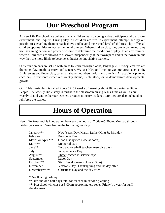### **Our Preschool Program**

At New Life Preschool, we believe that all children learn by being active participants who explore, experiment, and inquire. During play, all children are free to experiment, attempt, and try out possibilities, enabling them to reach above and beyond their usual level of abilities. Play offers all children opportunities to master their environment. When children play, they are in command; they use their imagination and power of choice to determine the conditions of play. In an environment where all children are allowed to discover independently at their own pace and in their own unique way they are more likely to become enthusiastic, inquisitive learners.

Our environments are set up with areas to learn through blocks, language  $\&$  literacy, creative art, dramatic play, math, sensory, and science. We use "Group Time" to explore areas such as the Bible, songs and finger play, calendar, shapes, numbers, colors and phonics. An activity is planned each day to reinforce either our weekly theme, Bible story, or to demonstrate developmental growth.

Our Bible curriculum is called Route 52: 52 weeks of learning about Bible Stories & Bible People. The weekly Bible story is taught in the classroom during Jesus Time as well as our weekly chapel with either our teachers or guest ministry leaders. Activities are also included to reinforce the stories.

### **Hours of Operation**

New Life Preschool is in operation between the hours of 7:30am-5:30pm, Monday through Friday, year-round. We observe the following holidays:

| January***        | New Years Day, Martin Luther King Jr. Birthday |
|-------------------|------------------------------------------------|
| February          | Presidents Day                                 |
| March or April*** | Good Friday (we close at noon),                |
| $May***$          | <b>Memorial Day</b>                            |
| June**            | Two and one-half teacher-in-service days       |
| July              | Independence Day                               |
| August**          | Three teacher-in-service days                  |
| September         | Labor Day                                      |
| October***        | Staff Development (close at 3pm)               |
| November          | Veterans Day, Thanksgiving and the day after   |
| December*/***     | Christmas Day and the day after                |

\*One floating holiday

\*\*Five and one-half days total for teacher-in-service planning \*\*\*Preschool will close at 3:00pm approximately seven Friday's a year for staff development.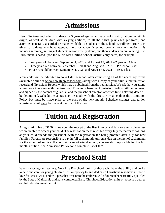### **Admissions**

New Life Preschool admits students 2 - 5 years of age, of any race, color, faith, national or ethnic origin, as well as children with varying abilities, to all the rights, privileges, programs, and activities generally accorded or made available to students at the school. Enrollment priority is given to students who have attended the prior academic school year without termination (this includes summer), siblings of students who currently attend, and then students on our Waiting List. Enrollment is based upon the Lucia Mar Unified School District entry dates, for example:

- Two years old between September 1, 2020 and August 15, 2021 2 year old Class
- Three years old between September 1, 2020 and August 31, 2021 Preschool Class
- Four years old between September 1, 2020 and August 31, 2021 Pre-K Class

Your child will be admitted to New Life Preschool after completing all of the necessary forms (available online at [www.newlifepreschool.com\)](http://www.newlifepreschool.com/) along with a copy of your child's immunization record and Physicians Report, which may be obtained from the pediatrician. We ask that you attend at least one interview with the Preschool Director where the Admissions Policy will be reviewed and signed by the parents or guardian and the preschool director, at which time a starting date will be determined. Schedule changes may be made with the director by amending the Admission Policy but must be made prior to the start of the new month. Schedule changes and tuition adjustments will only be made at the first of the month.

### **Tuition and Registration**

A registration fee of \$150 is due upon the receipt of the first invoice and is non-refundable unless we are unable to accept your child. The registration fee is re-billed every July thereafter for as long as your child attends the preschool, with the registration fee being prorated after July for new families. Parents are responsible to pay in full each month; tuition is due on the first of each month for the month of service. If your child cannot attend school, you are still responsible for the full month's tuition. See Admission Policy for a complete list of fees.

### **Preschool Staff**

When choosing our teachers, New Life Preschool looks for those who have the ability and desire to help and care for young children. It is our policy to hire dedicated Christians who have a sincere love for Jesus Christ and will pass that love onto the children. All of our teachers are fully qualified by the State of California and have completed Early Childhood Education units or possess a degree or child development permit.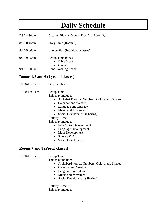### **Daily Schedule**

7:30-8:30am Creative Play at Centers-Free Art (Room 2)

- 8:30-8:45am Story Time (Room 2)
- 8:45-9:30am Choice Play (Individual classes)
- 9:30-9:45am Group Time (One) **Bible Story Chapel**  $\blacksquare$ 9:45-10:00am Hand Washing/Snack

#### **Rooms 4/5 and 6 (3 yr. old classes)**

- 10:00-11:00am Outside Play
- 11:00-12:00am Group Time

This may include:

- Alphabet/Phonics, Numbers, Colors, and Shapes
- $\mathbf{u}$ Calendar and Weather
- $\mathbf{r}$ Language and Literacy
- **Music and Movement**
- Social Development (Sharing)  $\blacksquare$
- Activity Time

This may include:

- Fine Motor Development
- $\blacksquare$ Language Development
- Math Development  $\blacksquare$
- Science & Art
- Social Development  $\blacksquare$

#### **Rooms 7 and 8 (Pre-K classes)**

#### 10:00-11:00am Group Time

This may include:

- $\blacksquare$ Alphabet/Phonics, Numbers, Colors, and Shapes
- Calendar and Weather  $\mathbf{u}$  .
- Language and Literacy
- $\mathbf{u}$  . Music and Movement
- Social Development (Sharing)

Activity Time This may include: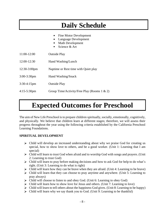### **Daily Schedule**

- Fine Motor Development
- Language Development
- Math Development
- Science & Art  $\blacksquare$
- 11:00-12:00 Outside Play
- 12:00-12:30 Hand Washing/Lunch
- 12:30-3:00pm Naptime or Rest time with Quiet play
- 3:00-3:30pm Hand Washing/Snack
- 3:30-4:15pm Outside Play
- 4:15-5:30pm Group Time/Activity/Free Play (Rooms 1 & 2)

### **Expected Outcomes for Preschool**

The aim of New Life Preschool is to prepare children spiritually, socially, emotionally, cognitively, and physically. We believe that children learn at different stages; therefore, we will assess their progress throughout the year using the following criteria established by the California Preschool Learning Foundations.

#### **SPIRITUAL DEVELOPMENT**

- $\triangleright$  Child will develop an increased understanding about why we praise God for creating us special, how to show love to others, and be a good worker. (Unit 1: Learning that I am special)
- Child will learn to trust God when afraid and to worship God with songs and prayers. (Unit 2: Learning to trust God)
- $\triangleright$  Child will learn to pray before making decisions and how to ask God for help to do what's right. (Unit 3: Learning to do what is right)
- $\triangleright$  Child will learn how they can be brave when they are afraid. (Unit 4: Learning to be brave)
- $\triangleright$  Child will learn that they can choose to pray anytime and anywhere. (Unit 5: Learning to pray always)
- Child will choose to listen to and obey God. (Unit 6: Learning to obey God)
- $\triangleright$  Child will learn how to show love for Jesus and others. (Unit 7: Learning to love)
- $\triangleright$  Child will learn to tell others about the happiness God gives. (Unit 8: Learning to be happy)
- $\triangleright$  Child will learn why we say thank you to God. (Unit 9: Learning to be thankful)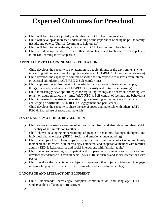- $\triangleright$  Child will learn to share joyfully with others. (Unit 10: Learning to share)
- $\triangleright$  Child will develop an increased understanding of the importance of being helpful to family, friends, and others. (Unit 11: Learning to help others)
- Child will learn to make the right choices. (Unit 12: Learning to follow Jesus)
- Child will develop the ability to tell others about Jesus, and to choose to worship Jesus. (Unit 13: Learning to worship Jesus)

#### **APPROACHES TO LEARNING SELF-REGULATION**

- $\triangleright$  Child develops the capacity to pay attention to people, things, or the environments when interacting with others or exploring play materials. (ATL-REG 1: Attention maintenance)
- $\triangleright$  Child develops the capacity to comfort or soothe self in response to distress from internal or external stimulation. (ALT-REG 2: Self-comforting)
- $\triangleright$  Child explores the environment in increasingly focused ways to learn about people, things, materials, and events. (ALT-REG 3: Curiosity and initiative in learning)
- $\triangleright$  Child increasingly develops strategies for regulating feelings and behavior, becoming less reliant on adult guidance over time. (ALT-REG 4: Self-control of feelings and behaviors)
- $\triangleright$  Child increasingly persists in understanding or mastering activities, even if they are challenging or difficult. (ATL-REG F: Engagement and persistence)
- Child develops the capacity to share the use of space and materials with others. (ATL-REG 6: Shared use of space and materials)

#### **SOCIAL AND EMOTIONAL DEVELOPMENT**

- Child shows increasing awareness of self as distinct from and also related to others. (SED 1: Identity of self in relation to others)
- Child shows developing understanding of people's behaviors, feelings, thoughts, and individual characteristics. (SED 2: Social and emotional understanding)
- $\triangleright$  Child develops close relationships with one or more familiar adults (including family members) and interacts in an increasingly competent and cooperative manner with familiar adults. (SED 3: Relationships and social interactions with familiar adults)
- Child becomes increasingly competent and cooperative in interactions with peers and develops friendships with several peers. (SED 4: Relationships and social interactions with peers)
- $\triangleright$  Child develops the capacity to use objects to represent other objects or ideas and to engage in symbolic play with others. (SED 5: Symbolic and socio-dramatic play)

#### **LANGUAGE AND LITERACY DEVELOPMENT**

- Child understands increasingly complex communication and language. (LLD 1: Understanding of language (Receptive)
- $\blacktriangleright$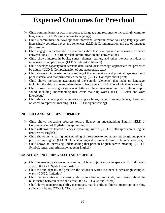- $\triangleright$  Child communicates or acts in response to language and responds to increasingly complex language. (LLD 2: Responsiveness to language)
- Child's communication develops from nonverbal communication to using language with increasingly complex words and sentences. (LLD 3: Communication and use of language (Expressive)
- Child engages in back-and-forth communication that develops into increasingly extended conversations. (LLD 4: Reciprocal communication and conversation)
- Child shows interest in books, songs, rhymes, stories, and other literacy activities in increasingly complex ways. (LLD 5: Interest in literacy)
- $\triangleright$  Child develops capacity to understand details and ideas from age-appropriate text presented by adults. (LLD 6: Comprehension of age-appropriate text)
- Child shows an increasing understanding of the conventions and physical organization of print material and that print carries meaning. (LLD 7: Concepts about print)
- Child shows increasing awareness of the sounds (elements) that make up language, including the ability to manipulate them in language. (LLD 8: Phonological awareness)
- Child shows increasing awareness of letters in the environment and their relationship to sound, including understanding that letters make up words. (LLD 9: Letter and word knowledge)
- $\triangleright$  Child shows increasing ability to write using scribbles, marks, drawings, letters, characters, or words to represent meaning. (LLD 10: Emergent writing)

#### **ENGLISH LANGUAGE DEVELOPMENT**

- Child shows increasing progress toward fluency in understanding English. (ELD 1: Comprehension of English (Receptive English))
- Child will progress toward fluency in speaking English. (ELD 2: Self-expression in English (Expressive English))
- Child shows an increasing understanding of a response to books, stories, songs, and poems presented in English. (ELD 3: Understanding and response to English literacy activities)
- Child shows an increasing understanding that print in English carries meaning. (ELD 4: Symbol, letter, and print knowledge in English)

#### **COGNITION, INCLUDING MATH AND SCIENCE**

- $\triangleright$  Child increasingly shows understanding of how objects move in space or fit in different spaces. (COG 1: Spatial relationships)
- $\triangleright$  Child mirrors, repeats, and practices the actions or words of others in increasingly complex ways. (COG 2: Imitation)
- Child demonstrates an increasing ability to observe, anticipate, and reason about the relationship between cause and effect. (COG 3: Cause and Effect)
- Child shows an increasing ability to compare, match, and sort objects into groups according to their attributes. (COG 4: Classification)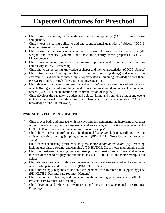- $\triangleright$  Child shows developing understanding of number and quantity. (COG 5: Number Sense) and quantity)
- Child shows increasing ability to add and subtract small quantities of objects. (COG 6: Number sense of math operations)
- Child shows an increasing understanding of measurable properties such as size, length, weight, and capacity (volume), and how to quantify those properties. (COG 7: Measurement)
- Child shows an increasing ability to recognize, reproduce, and create patterns of varying complexity. (COG 8: Patterning)
- Child shows an increasing knowledge of shapes and their characteristics. (COG 9: Shapes)
- Child *observes* and *investigates* objects (living and nonliving things) and events in the environment and becomes increasingly sophisticated in pursuing knowledge about them. (COG: 10 Inquiry through observation and investigation)
- Child develops the capacity to describe and record *observations* and *investigations* about objects (living and nonliving things) and events, and to share ideas and explanations with others. (COG 11: Documentation and communication of inquiry)
- $\triangleright$  Child develops the capacity to understand objects (living and nonliving things) and events in the natural world, including how they change and their characteristics. (COG 12: Knowledge of the natural world)

#### **PHYSICAL DEVELOPMENT-HEALTH**

- $\triangleright$  Child moves body and interacts with the environment, demonstrating increasing awareness of own physical effort, body awareness, spatial awareness, and directional awareness. (PD-HLTH 1: Perceptual-motor skills and movement concepts)
- Child shows increasing proficiency in fundamental *locomotor* skills (e.g., rolling, crawling, cruising, walking, running, jumping, galloping). (PD-HLTH 2: Gross locomotor movement skills)
- Child shows increasing proficiency in gross motor *manipulative skills* (e.g., reaching, kicking, grasping, throwing, and catching). (PD-HLTH 3: Gross motor manipulative skills)
- $\triangleright$  Child demonstrates increasing precision, strength, coordination, and efficiency when using muscles of the hand for play and functional tasks. (PD-HLTH 4: Fine motor manipulative skills)
- $\triangleright$  Child shows awareness of safety and increasingly demonstrates knowledge of safety skills when participating in daily activities. (PD-HLTH 5: Safety)
- Child increasingly responds to and initiates personal care routines that support hygiene. (PD-HLTH 6: Personal care routines: Hygiene)
- Child responds to feeding and feeds self with increasing proficiency. (PD-HLTH 7: Personal care routines: Self-feeding)
- Child develops and refines ability to dress self. (PD-HLTH 8: Personal care routines: Dressing)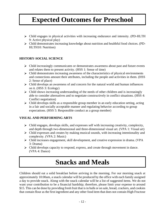- Child engages in physical activities with increasing endurance and intensity. (PD-HLTH 9: Active physical play)
- Child demonstrates increasing knowledge about nutrition and healthful food choices. (PD-HLTH10: Nutrition)

#### **HISTORY-SOCIAL SCIENCE**

- $\triangleright$  Child increasingly communicates or demonstrates awareness about past and future events and relates them to present activity. (HSS 1: Sense of time)
- $\triangleright$  Child demonstrates increasing awareness of the characteristics of physical environments and connections amount their attributes, including the people and activities in them. (HSS 2: Sense of place)
- $\triangleright$  Child develops an awareness of and concern for the natural world and human influences on it. (HSS 3: Ecology)
- $\triangleright$  Child shows increasing understanding of the needs of other children and is increasingly able to consider alternatives and to negotiate constructively in conflict situations. (HSS 4: Conflict negotiation)
- $\triangleright$  Child develops skills as a responsible group member in an early education setting, acting in a fair and socially acceptable manner and regulating behavior according to group expectations. (HSS 5: Responsible conduct as a group member)

#### **VISUAL AND PERFORMING ARTS**

- $\triangleright$  Child engages, develops skills, and expresses self with increasing creativity, complexity, and depth through two-dimensional and three-dimensional visual art. (VPA 1: Visual art)
- Child expresses and creates by making musical sounds, with increasing intentionality and complexity. (VPA 2: Music)
- Child increases engagement, skill development, and creative expression in drama. (VPA 3: Drama)
- Child develops capacity to respond, express, and create through movement in dance. (VPA 4: Dance)

### **Snacks and Meals**

Children should eat a solid breakfast before arriving in the morning. For our morning snack at approximately 10:00am, a snack calendar will be produced by the office with each family assigned a day to provide snack. Along with the snack calendar will be a list of suggested items. We do not want your contribution to be a financial hardship; therefore, please limit your expense to around \$15. This can be done by providing fresh fruit that is in bulk or on sale, bread, crackers, and cookies that contain flour as the first ingredient and any other food item that does not contain High Fructose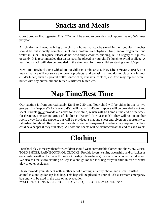### **Snacks and Meals**

Corn Syrup or Hydrogenated Oils. \*You will be asked to provide snack approximately 5-6 times per year.

All children will need to bring a lunch from home that can be stored in their cubbies. Lunches should be nutritionally complete; including protein, carbohydrate, fruit, and/or vegetable, and water, milk, or 100% juice. Please do not send chips, cookies, pudding, Jell-O, sugary fruit juices, or candy. It is recommended that an ice pack be placed in your child's lunch to avoid spoilage. A nutritious snack will also be provided in the afternoon for those children staying after 3:00pm.

New Life Preschool along with all of our children's ministries at New Life is **"peanut free"**. This means that we will not serve any peanut products, and we ask that you do not place any in your child's lunch; such as, peanut butter sandwiches, crackers, cookies, etc. You may replace peanut butter with soy butter, almond butter, sunflower butter, etc.

### **Nap Time/Rest Time**

Our naptime is from approximately 12:45 to 2:30 pm. Your child will be either in one of two groups: The "nappers" (2 - 4-year old's), will nap at 12:45pm. Nappers will be provided a cot and sheet. Parents must provide a blanket for their child, which will go home at the end of the week for cleaning. The second group of children is "resters" (4–5-year-olds). They will rest in another room, away from the nappers, but will be provided a mat and sheet and given an opportunity to fall asleep for about 30-45 minutes. Parents of four to five-year-old students may request that their child be a napper if they still sleep. All cots and sheets will be disinfected at the end of each week.

### **Clothing**

Preschool play is messy; therefore, children should wear comfortable clothes and shoes. NO OPEN TOED SHOES, RAIN BOOTS, OR CROCKS. Provide layers; t-shirt, sweatshirt, and/or jacket as our coastal weather fluctuates throughout the day. Please have girls wear shorts under their dresses. We also ask that extra clothing be kept in a one-gallon zip lock bag for your child in case of water play or other accidents.

Please provide your student with another set of clothing, a family photo, and a small stuffed animal in a one-gallon zip lock bag. This bag will be placed in your child's classroom emergency bag and will be used in the case of an evacuation.

\*\*ALL CLOTHING NEEDS TO BE LABELED, ESPECIALLY JACKETS\*\*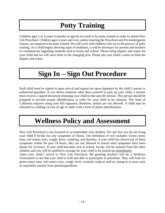### **Potty Training**

Children ages 2 to 3 years 6 months of age do not need to be potty trained in order to attend New Life Preschool. Children ages 4 years and over, and/or entering the Preschool and Pre-kindergarten classes, are required to be potty trained. We will work with children who are in the process of potty training. As a child begins showing signs of readiness, it will be necessary for parents and teachers to communicate regarding methods used at home and school. Please bring diapers and wipes for your child and we will store them in the changing area. Please put your child's name on both the diapers and wipes.

### **Sign In – Sign Out Procedure**

Each child must be signed in upon arrival and signed out upon departure by the child's parent or authorized guardian. If you desire someone other than yourself to pick up your child, a teacher must receive a signed document releasing your child to that specific person. This person should be prepared to provide proper identification in order for your child to be released. The State of California requires using your full signature; therefore, initials are not allowed. A child may be released to a sibling 14 year of age or older with a form of photo identification.

### **Wellness Policy and Assessment**

New Life Preschool is not licensed to accommodate sick children. We ask that you do not bring your child if he/she has any symptoms of illness. Our definition of sick includes: Green runny nose, red watery eyes, cough, fever, vomiting, and diarrhea, if your child has shown any of these symptoms within the past 24 hours, they are not allowed in school until symptoms have been absent for 24 hours. If your child becomes sick at school, he/she will be isolated from the other children and you will be notified to arrange for your child to be picked up immediately.

Upon your child's arrival to New Life Preschool, the greeting teachers will do a Wellness Assessment to see that your child is well and able to participate in preschool. They will look for green runny nose, red watery eyes, cough, fever, scratchy scalp as well as cueing in to areas such as separation anxiety from parents/guardians.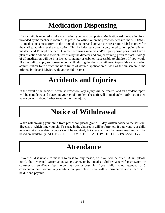### **Medication Dispensing**

If your child is required to take medication, you must complete a Medication Administration form provided by the teacher in room 2, the preschool office, or on the preschool website under FORMS. All medications must arrive in the original container and contain the prescription label in order for the staff to administer the medication. This includes sunscreen, cough medication, pain reliever, inhalers, and Epinephrine pens. Children requiring inhalers and/or Epinephrine pens must have a plan of action added to their child's file by the director and proper training given to staff. Storage of all medication will be in a locked container or cabinet inaccessible to children. If you would like the staff to apply sunscreen to your child during the day, you will need to provide a medication administration form which includes times of desired application as well as the sunscreen in the original bottle and labeled with your child's name.

### **Accidents and Injuries**

In the event of an accident while at Preschool, any injury will be treated, and an accident report will be completed and placed in your child's folder. The staff will immediately notify you if they have concerns about further treatment of the injury.

### **Notice of Withdrawal**

When withdrawing your child from preschool, please give a 30-day written notice to the assistant director, at which time your child's space in the classroom will be forfeited. If you want your child to return at a later date, a deposit will be required, but space will not be guaranteed and will be based on availability. ALL FEES BILLED MUST BE PAID BY THE CHILD'S LAST DAY.

### **Attendance**

If your child is unable to make it to class for any reason, or if you will be after 9:30am, please notify the Preschool Office at (805) 489-3575 or by email at children@newlifepismo.com or [courtney.crosson@newlifepismo.com](mailto:courtney.crosson@newlifepismo.com) as soon as possible. If your child has not attended for 5 consecutive days without any notification, your child's care will be terminated, and all fees will be due and payable.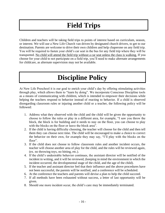### **Field Trips**

Children and teachers will be taking field trips to points of interest based on curriculum, season, or interest. We will use a New Life Church van driven by designated church drivers, to get to our destination. Parents are welcome to drive their own children and help chaperone on any field trip. You will be required to fasten your child's car seat in the bus for any field trip where they will be transported. No child will attend the field trip without a car seat unless the class is walking. If you choose for your child to not participate on a field trip, you'll need to make alternate arrangements for childcare, as alternate supervision may not be available.

### **Discipline Policy**

At New Life Preschool it is our goal to enrich your child's day by offering stimulating activities through play, which allows them to "learn by doing". We incorporate Conscious Discipline tools as a means of communicating with children, which is intended to empower their decisions while helping the teachers respond to behavior instead of reacting to behavior. If a child is observed disregarding classroom rules or injuring another child or a teacher, the following policy will be followed:

- 1. Address what they observed with the child and the child will be given the opportunity to choose to follow the rules or play in a different area, for example, "I saw you throw the block, the block is for building and it needs to stay on the floor, you can choose to play with the blocks on the floor or leave the block area".
- 2. If the child is having difficulty choosing, the teacher will choose for the child and then tell them they can choose next time. The child will be encouraged to make a choice to correct the behavior on their own, for example they may say, "I'll play with the blocks on the floor".
- 3. If the child does not choose to follow classroom rules and another incident occurs, the teacher will choose another area of play for the child, and the rules will be reviewed again, (ex. no throwing toys, no hitting, etc.).
- 4. If the child's undesirable behavior continues, the assistant director will be notified of the incident in writing, and it will be reviewed, (keeping in mind the environment in which the incident occurred, the developmental stage of the child, and the age of the child).
- 5. If the teacher and assistant director feel that their influence and the above procedures have not been successful, the parents will be notified, and a conference will be scheduled.
- 6. At the conference the teachers and parents will devise a plan to help the child succeed.
- 7. If all methods have been exhausted without success, a letter of last opportunity will be given.
- 8. Should one more incident occur, the child's care may be immediately terminated.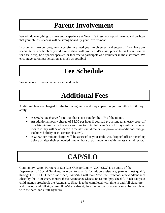### **Parent Involvement**

We will do everything to make your experience at New Life Preschool a positive one, and we hope that your child's success will be strengthened by your involvement.

In order to make our program successful, we need your involvement and support! If you have any special talents or hobbies you'd like to share with your child's class, please let us know. Join us for a field trip, be a special speaker, or feel free to participate as a volunteer in the classroom. We encourage parent participation as much as possible!

### **Fee Schedule**

See schedule of fees attached as addendum A.

### **Additional Fees**

Additional fees are charged for the following items and may appear on your monthly bill if they apply:

- A \$50.00 late charge for tuition that is not paid by the  $10<sup>th</sup>$  of the month.
- An additional hourly charge of \$8.00 per hour if you had pre-arranged an early drop-off or a late pick-up with the assistant director. (A child can "switch" days within the same month if they will be absent with the assistant director's approval at no additional charge; excludes holiday or in-service closures).
- A \$1.00 per minute charge will be assessed if your child was dropped off or picked up before or after their scheduled time without pre-arrangement with the assistant director.

### **CAP/SLO**

Community Action Partners of San Luis Obispo County (CAP/SLO) is an entity of the Department of Social Services. In order to qualify for tuition assistance, parents must qualify through CAP/SLO. Once established, CAP/SLO will mail New Life Preschool a new Attendance Sheet by the 1<sup>st</sup> of every month; these Attendance Sheets act as our "pay check". Each day your child attends preschool; the Attendance Sheet is to be completed with time in and full signature, and time out and full signature. If he/she is absent, then the reason for absence must be completed with the date, and a full signature.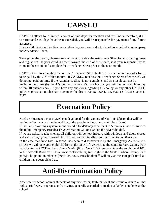### **CAP/SLO**

CAP/SLO allows for a limited amount of paid days for vacation and for illness; therefore, if all vacation and sick days have been exceeded, you will be responsible for payment of any future absences.

If your child is absent for five consecutive days or more, a doctor's note is required to accompany the Attendance Sheet.

Throughout the month, please take a moment to review the Attendance Sheet for any missing times and signatures. If your child is absent toward the end of the month, it is your responsibility to come to the school and complete the Attendance Sheet prior to the next month.

CAP/SLO requires that they receive the Attendance Sheet by the 5<sup>th</sup> of each month in order for us to be paid by the  $24<sup>th</sup>$  of that month. If CAP/SLO receives the Attendance Sheet after the  $5<sup>th</sup>$ , we do not get paid on time. If the Attendance Sheet is not complete, and as a result can not be mailed out on time (by the  $4<sup>th</sup>$ ), you will incur a \$50 late fee that you will be responsible to pay within 10 business days. If you have any questions regarding this policy, or any other CAP/SLO policies, please do not hesitate to contact the director at 489-3254, Ext. 606 or CAP/SLO at 541- 2272.

### **Evacuation Policy**

Nuclear Emergency Plans have been developed for the County of San Luis Obispo that will be put into effect at any time the welfare of the people in the county could be affected.

If the Early Warnings system sirens sound a loud/steady tone for 3 to 5 minutes, we will tune to the radio Emergency Broadcast System station 920 or 1500 on the AM radio dial.

If we are asked to take shelter, all children will be kept indoors with windows and doors closed and ventilating systems turned off. This will remain in effect until notified to do otherwise.

In the case that New Life Preschool has been told to evacuate by the Emergency Alert System (EAS), we will take your child/children in the New Life vehicles to the Santa Barbara County Fair park located at 937 Thornburg, Santa Maria. (From New Life Preschool; take the southbound 101, to the Stowell Road exit. Drive west to Thornburg; turn right to the Santa Barbara County Fair park.) The phone number is (805) 925-8824. Preschool staff will stay at the Fair park until all children have been picked up.

### **Anti-Discrimination Policy**

New Life Preschool admits students of any race, color, faith, national and ethnic origin to all the rights, privileges, programs, and activities generally accorded or made available to students at the school.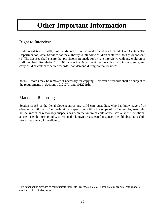### **Other Important Information**

#### Right to Interview

Under regulation 101200(b) of the Manual of Policies and Procedures for Child Care Centers, The Department of Social Services has the authority to interview children or staff without prior consent. (1) The licensee shall ensure that provisions are made for private interviews with any children or staff members. Regulation 101200(c) states the Department has the authority to inspect, audit, and copy child or childcare center records upon demand during normal business

hours. Records may be removed if necessary for copying. Removal of records shall be subject to the requirements in Sections 101217(c) and 101221(d).

#### Mandated Reporting

Section 11166 of the Penal Code requires any child care custodian, who has knowledge of or observes a child in his/her professional capacity or within the scope of his/her employment who he/she knows, or reasonably suspects has been the victim of child abuse, sexual abuse, emotional abuse, or child pornography, to report the known or suspected instance of child abuse to a child protective agency immediately.

This handbook is provided to communicate New Life Preschools policies. These policies are subject to change at any time with a 30-day notice.